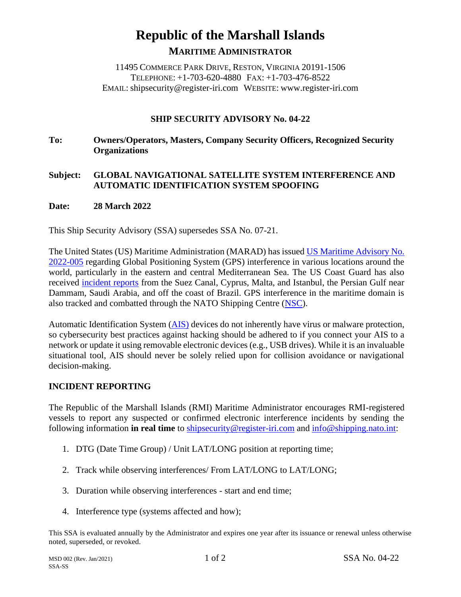# **Republic of the Marshall Islands MARITIME ADMINISTRATOR**

11495 COMMERCE PARK DRIVE, RESTON, VIRGINIA 20191-1506 TELEPHONE: +1-703-620-4880 FAX: +1-703-476-8522 EMAIL: shipsecurity@register-iri.com WEBSITE: www.register-iri.com

## **SHIP SECURITY ADVISORY No. 04-22**

**To: Owners/Operators, Masters, Company Security Officers, Recognized Security Organizations**

#### **Subject: GLOBAL NAVIGATIONAL SATELLITE SYSTEM INTERFERENCE AND AUTOMATIC IDENTIFICATION SYSTEM SPOOFING**

#### **Date: 28 March 2022**

This Ship Security Advisory (SSA) supersedes SSA No. 07-21.

The United States (US) Maritime Administration (MARAD) has issued [US Maritime Advisory No.](https://www.maritime.dot.gov/msci/2022-005-various-gps-interference-ais-spoofing)  [2022-005](https://www.maritime.dot.gov/msci/2022-005-various-gps-interference-ais-spoofing) regarding Global Positioning System (GPS) interference in various locations around the world, particularly in the eastern and central Mediterranean Sea. The US Coast Guard has also received [incident reports](https://navcen.uscg.gov/?Do=GPSReportStatus) from the Suez Canal, Cyprus, Malta, and Istanbul, the Persian Gulf near Dammam, Saudi Arabia, and off the coast of Brazil. GPS interference in the maritime domain is also tracked and combatted through the NATO Shipping Centre [\(NSC\)](https://shipping.nato.int/nsc/operations/merchant-shipping-reporting/incident-reporting-form).

Automatic Identification System [\(AIS\)](https://shipping.nato.int/nsc/operations/news/2021/ais-automatic-identification-system-overview) devices do not inherently have virus or malware protection, so cybersecurity best practices against hacking should be adhered to if you connect your AIS to a network or update it using removable electronic devices (e.g., USB drives). While it is an invaluable situational tool, AIS should never be solely relied upon for collision avoidance or navigational decision-making.

## **INCIDENT REPORTING**

The Republic of the Marshall Islands (RMI) Maritime Administrator encourages RMI-registered vessels to report any suspected or confirmed electronic interference incidents by sending the following information **in real time** to [shipsecurity@register-iri.com](mailto:shipsecurity@register-iri.com) and [info@shipping.nato.int:](mailto:info@shipping.nato.int)

- 1. DTG (Date Time Group) / Unit LAT/LONG position at reporting time;
- 2. Track while observing interferences/ From LAT/LONG to LAT/LONG;
- 3. Duration while observing interferences start and end time;
- 4. Interference type (systems affected and how);

This SSA is evaluated annually by the Administrator and expires one year after its issuance or renewal unless otherwise noted, superseded, or revoked.